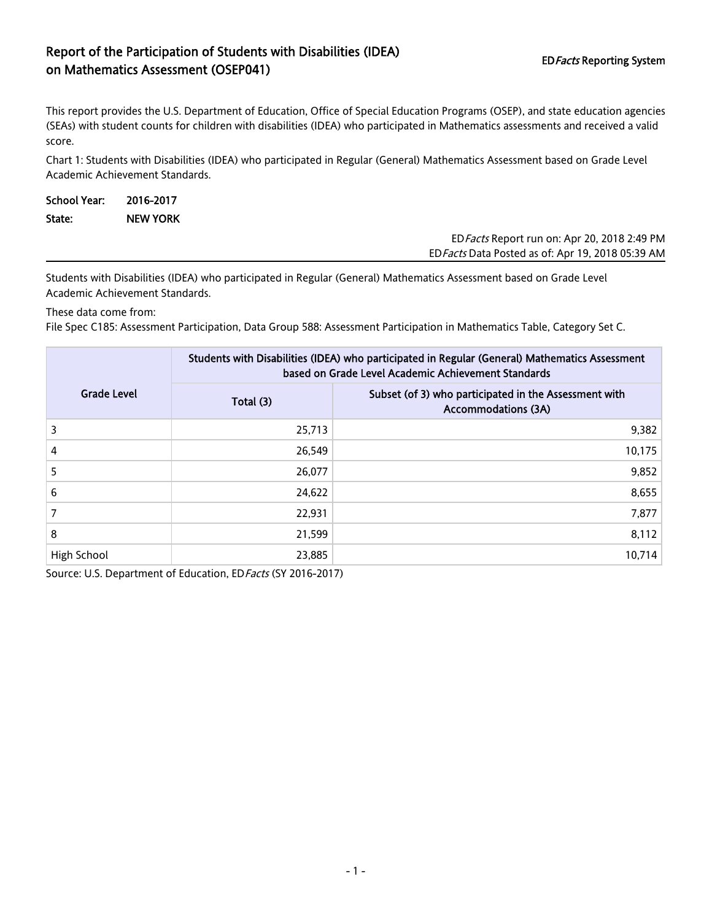## Report of the Participation of Students with Disabilities (IDEA) on Mathematics Assessment (OSEP041)<br>The Mathematics Assessment (OSEP041)

EDFacts Data Posted as of: Apr 19, 2018 05:39 AM

This report provides the U.S. Department of Education, Office of Special Education Programs (OSEP), and state education agencies (SEAs) with student counts for children with disabilities (IDEA) who participated in Mathematics assessments and received a valid score.

Chart 1: Students with Disabilities (IDEA) who participated in Regular (General) Mathematics Assessment based on Grade Level Academic Achievement Standards.

| <b>School Year:</b> | 2016-2017       |  |                                              |
|---------------------|-----------------|--|----------------------------------------------|
| State:              | <b>NEW YORK</b> |  |                                              |
|                     |                 |  | ED Facts Report run on: Apr 20, 2018 2:49 PM |

Students with Disabilities (IDEA) who participated in Regular (General) Mathematics Assessment based on Grade Level Academic Achievement Standards.

These data come from:

File Spec C185: Assessment Participation, Data Group 588: Assessment Participation in Mathematics Table, Category Set C.

|                    | Students with Disabilities (IDEA) who participated in Regular (General) Mathematics Assessment<br>based on Grade Level Academic Achievement Standards |                                                                                     |  |  |
|--------------------|-------------------------------------------------------------------------------------------------------------------------------------------------------|-------------------------------------------------------------------------------------|--|--|
| <b>Grade Level</b> | Total (3)                                                                                                                                             | Subset (of 3) who participated in the Assessment with<br><b>Accommodations (3A)</b> |  |  |
| 3                  | 25,713                                                                                                                                                | 9,382                                                                               |  |  |
| 4                  | 26,549                                                                                                                                                | 10,175                                                                              |  |  |
| 5                  | 26,077                                                                                                                                                | 9,852                                                                               |  |  |
| 6                  | 24,622                                                                                                                                                | 8,655                                                                               |  |  |
|                    | 22,931                                                                                                                                                | 7,877                                                                               |  |  |
| 8                  | 21,599                                                                                                                                                | 8,112                                                                               |  |  |
| High School        | 23,885                                                                                                                                                | 10,714                                                                              |  |  |

Source: U.S. Department of Education, ED Facts (SY 2016-2017)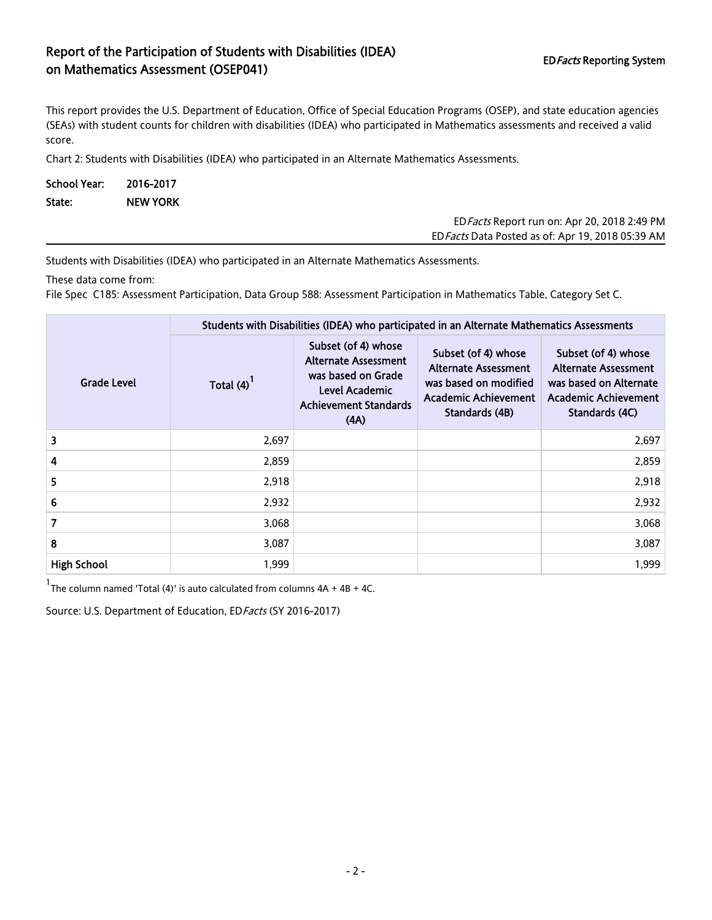## Report of the Participation of Students with Disabilities (IDEA) Report of the Farticipation of Staticitis with Bisabilities (IBE/V) FORE EDFacts Reporting System<br>The Mathematics Assessment (OSEP041)

This report provides the U.S. Department of Education, Office of Special Education Programs (OSEP), and state education agencies (SEAs) with student counts for children with disabilities (IDEA) who participated in Mathematics assessments and received a valid score.

Chart 2: Students with Disabilities (IDEA) who participated in an Alternate Mathematics Assessments.

| School Year: 2016-2017 |                 |  |
|------------------------|-----------------|--|
| State:                 | <b>NEW YORK</b> |  |

| ED Facts Report run on: Apr 20, 2018 2:49 PM      |
|---------------------------------------------------|
| ED Facts Data Posted as of: Apr 19, 2018 05:39 AM |

Students with Disabilities (IDEA) who participated in an Alternate Mathematics Assessments.

These data come from:

File Spec C185: Assessment Participation, Data Group 588: Assessment Participation in Mathematics Table, Category Set C.

|                    | Students with Disabilities (IDEA) who participated in an Alternate Mathematics Assessments |                                                                                                                                    |                                                                                                                |                                                                                                                 |  |  |
|--------------------|--------------------------------------------------------------------------------------------|------------------------------------------------------------------------------------------------------------------------------------|----------------------------------------------------------------------------------------------------------------|-----------------------------------------------------------------------------------------------------------------|--|--|
| <b>Grade Level</b> | Total $(4)$ <sup>1</sup>                                                                   | Subset (of 4) whose<br><b>Alternate Assessment</b><br>was based on Grade<br>Level Academic<br><b>Achievement Standards</b><br>(AA) | Subset (of 4) whose<br>Alternate Assessment<br>was based on modified<br>Academic Achievement<br>Standards (4B) | Subset (of 4) whose<br>Alternate Assessment<br>was based on Alternate<br>Academic Achievement<br>Standards (4C) |  |  |
| 3                  | 2,697                                                                                      |                                                                                                                                    |                                                                                                                | 2,697                                                                                                           |  |  |
| 4                  | 2,859                                                                                      |                                                                                                                                    |                                                                                                                | 2,859                                                                                                           |  |  |
| 5                  | 2,918                                                                                      |                                                                                                                                    |                                                                                                                | 2,918                                                                                                           |  |  |
| 6                  | 2,932                                                                                      |                                                                                                                                    |                                                                                                                | 2,932                                                                                                           |  |  |
| $\overline{7}$     | 3,068                                                                                      |                                                                                                                                    |                                                                                                                | 3,068                                                                                                           |  |  |
| 8                  | 3,087                                                                                      |                                                                                                                                    |                                                                                                                | 3,087                                                                                                           |  |  |
| <b>High School</b> | 1,999                                                                                      |                                                                                                                                    |                                                                                                                | 1,999                                                                                                           |  |  |

<sup>1</sup>The column named 'Total (4)' is auto calculated from columns  $4A + 4B + 4C$ .

Source: U.S. Department of Education, ED Facts (SY 2016-2017)